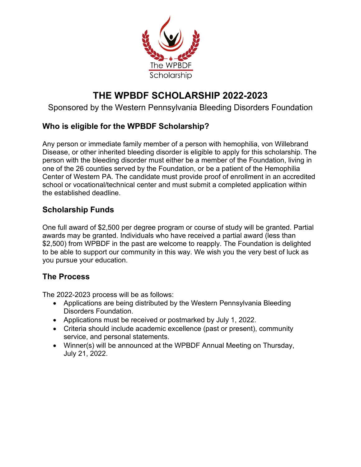

# **THE WPBDF SCHOLARSHIP 2022-2023**

### Sponsored by the Western Pennsylvania Bleeding Disorders Foundation

### **Who is eligible for the WPBDF Scholarship?**

Any person or immediate family member of a person with hemophilia, von Willebrand Disease, or other inherited bleeding disorder is eligible to apply for this scholarship. The person with the bleeding disorder must either be a member of the Foundation, living in one of the 26 counties served by the Foundation, or be a patient of the Hemophilia Center of Western PA. The candidate must provide proof of enrollment in an accredited school or vocational/technical center and must submit a completed application within the established deadline.

### **Scholarship Funds**

One full award of \$2,500 per degree program or course of study will be granted. Partial awards may be granted. Individuals who have received a partial award (less than \$2,500) from WPBDF in the past are welcome to reapply. The Foundation is delighted to be able to support our community in this way. We wish you the very best of luck as you pursue your education.

### **The Process**

The 2022-2023 process will be as follows:

- Applications are being distributed by the Western Pennsylvania Bleeding Disorders Foundation.
- Applications must be received or postmarked by July 1, 2022.
- Criteria should include academic excellence (past or present), community service, and personal statements.
- Winner(s) will be announced at the WPBDF Annual Meeting on Thursday, July 21, 2022.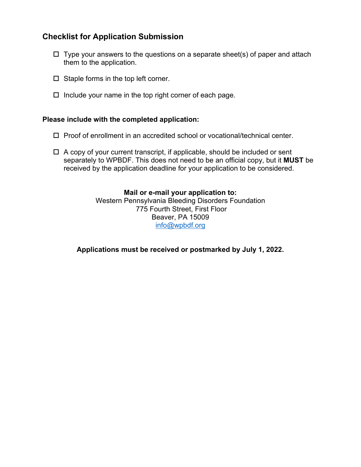### **Checklist for Application Submission**

- $\Box$  Type your answers to the questions on a separate sheet(s) of paper and attach them to the application.
- $\Box$  Staple forms in the top left corner.
- $\Box$  Include your name in the top right corner of each page.

#### **Please include with the completed application:**

- $\Box$  Proof of enrollment in an accredited school or vocational/technical center.
- $\Box$  A copy of your current transcript, if applicable, should be included or sent separately to WPBDF. This does not need to be an official copy, but it **MUST** be received by the application deadline for your application to be considered.

#### **Mail or e-mail your application to:** Western Pennsylvania Bleeding Disorders Foundation 775 Fourth Street, First Floor Beaver, PA 15009 [info@wpbdf.org](mailto:info@wpbdf.org)

**Applications must be received or postmarked by July 1, 2022.**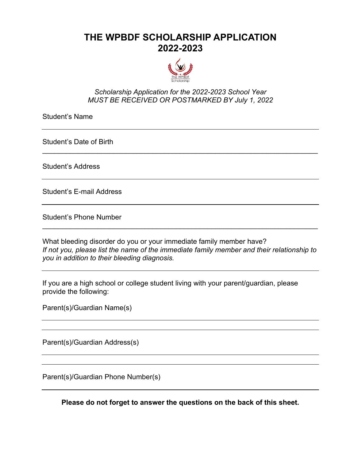## **THE WPBDF SCHOLARSHIP APPLICATION 2022-2023**



#### *Scholarship Application for the 2022-2023 School Year MUST BE RECEIVED OR POSTMARKED BY July 1, 2022*

\_\_\_\_\_\_\_\_\_\_\_\_\_\_\_\_\_\_\_\_\_\_\_\_\_\_\_\_\_\_\_\_\_\_\_\_\_\_\_\_\_\_\_\_\_\_\_\_\_\_\_\_\_\_\_\_\_\_\_\_\_\_\_\_\_\_\_\_\_\_

Student's Name

Student's Date of Birth

Student's Address

Student's E-mail Address

Student's Phone Number

What bleeding disorder do you or your immediate family member have? *If not you, please list the name of the immediate family member and their relationship to you in addition to their bleeding diagnosis.*

\_\_\_\_\_\_\_\_\_\_\_\_\_\_\_\_\_\_\_\_\_\_\_\_\_\_\_\_\_\_\_\_\_\_\_\_\_\_\_\_\_\_\_\_\_\_\_\_\_\_\_\_\_\_\_\_\_\_\_\_\_\_\_\_\_\_\_\_\_\_

If you are a high school or college student living with your parent/guardian, please provide the following:

Parent(s)/Guardian Name(s)

Parent(s)/Guardian Address(s)

Parent(s)/Guardian Phone Number(s)

**Please do not forget to answer the questions on the back of this sheet.**